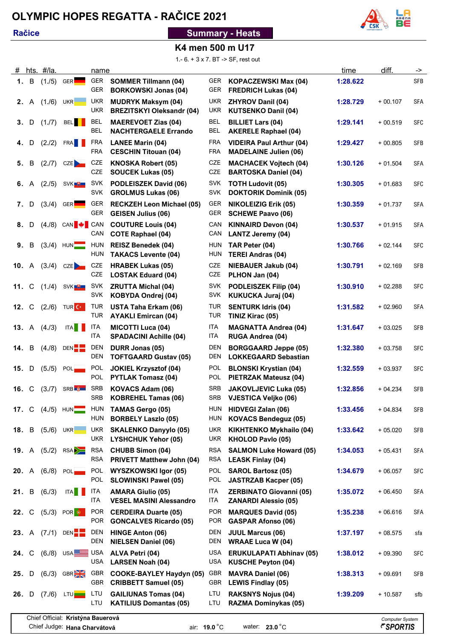## **OLYMPIC HOPES REGATTA - RAČICE 2021**

### **Račice**

### **Summary - Heats**



### **K4 men 500 m U17**

1.- 6. + 3 x 7. BT -> SF, rest out

| #            |              | hts. #/la. |                                       | name                     |                                                                |                          |                                                                 | time     | diff.                  | ->          |
|--------------|--------------|------------|---------------------------------------|--------------------------|----------------------------------------------------------------|--------------------------|-----------------------------------------------------------------|----------|------------------------|-------------|
|              | 1. B         | (1.75)     | GER <sup>L</sup>                      | GER<br><b>GER</b>        | <b>SOMMER Tillmann (04)</b><br><b>BORKOWSKI Jonas (04)</b>     | GER<br><b>GER</b>        | <b>KOPACZEWSKI Max (04)</b><br><b>FREDRICH Lukas (04)</b>       | 1:28.622 |                        | SFB         |
| 2.           | A            | (1./6)     | UKR <b>New York</b>                   | <b>UKR</b><br><b>UKR</b> | <b>MUDRYK Maksym (04)</b><br><b>BREZITSKYI Oleksandr (04)</b>  | <b>UKR</b><br><b>UKR</b> | <b>ZHYROV Danil (04)</b><br><b>KUTSENKO Danil (04)</b>          | 1:28.729 | $+00.107$              | <b>SFA</b>  |
| 3.           | D            | (1.7)      | <b>BEL</b>                            | <b>BEL</b><br>BEL        | <b>MAEREVOET Zias (04)</b><br><b>NACHTERGAELE Errando</b>      | <b>BEL</b><br><b>BEL</b> | <b>BILLIET Lars (04)</b><br><b>AKERELE Raphael (04)</b>         | 1:29.141 | $+00.519$              | <b>SFC</b>  |
| 4.           | D            | (2.72)     | FRA <b>N</b>                          | FRA<br><b>FRA</b>        | <b>LANEE Marin (04)</b><br><b>CESCHIN Titouan (04)</b>         | <b>FRA</b><br><b>FRA</b> | <b>VIDEIRA Paul Arthur (04)</b><br><b>MADELAINE Julien (06)</b> | 1:29.427 | $+00.805$              | <b>SFB</b>  |
| 5.           | В            | (2.7)      | CZE                                   | <b>CZE</b><br><b>CZE</b> | <b>KNOSKA Robert (05)</b><br><b>SOUCEK Lukas (05)</b>          | <b>CZE</b><br><b>CZE</b> | <b>MACHACEK Vojtech (04)</b><br><b>BARTOSKA Daniel (04)</b>     | 1:30.126 | $+01.504$              | SFA         |
| 6.           | A            | (2.75)     | SVK <sup>U</sup>                      | <b>SVK</b><br><b>SVK</b> | PODLEISZEK David (06)<br><b>GROLMUS Lukas (06)</b>             | <b>SVK</b><br><b>SVK</b> | <b>TOTH Ludovit (05)</b><br><b>DOKTORIK Dominik (05)</b>        | 1:30.305 | $+01.683$              | <b>SFC</b>  |
| 7.           | D            | (3.4)      | GER <sup>L</sup>                      | <b>GER</b><br><b>GER</b> | <b>RECKZEH Leon Michael (05)</b><br><b>GEISEN Julius (06)</b>  | GER<br><b>GER</b>        | <b>NIKOLEIZIG Erik (05)</b><br><b>SCHEWE Paavo (06)</b>         | 1:30.359 | $+01.737$              | <b>SFA</b>  |
| 8.           | D            |            | $(4.8)$ CAN $\blacktriangleright$ CAN | CAN                      | <b>COUTURE Louis (04)</b><br><b>COTE Raphael (04)</b>          | CAN<br>CAN               | <b>KINNAIRD Devon (04)</b><br><b>LANTZ Jeremy (04)</b>          | 1:30.537 | $+01.915$              | <b>SFA</b>  |
| 9.           | В            |            | $(3.4)$ HUN                           | <b>HUN</b><br><b>HUN</b> | <b>REISZ Benedek (04)</b><br><b>TAKACS Levente (04)</b>        | HUN<br><b>HUN</b>        | TAR Peter (04)<br><b>TEREI Andras (04)</b>                      | 1:30.766 | $+02.144$              | <b>SFC</b>  |
| 10. A        |              | (3.4)      | CZE                                   | CZE<br>CZE               | <b>HRABEK Lukas (05)</b><br><b>LOSTAK Eduard (04)</b>          | <b>CZE</b><br>CZE        | <b>NIEBAUER Jakub (04)</b><br>PLHON Jan (04)                    | 1:30.791 | $+02.169$              | <b>SFB</b>  |
| $11. \, C$   |              | (1.4)      | SVK <sup>U</sup>                      | <b>SVK</b><br><b>SVK</b> | <b>ZRUTTA Michal (04)</b><br>KOBYDA Ondrej (04)                | <b>SVK</b><br><b>SVK</b> | <b>PODLEISZEK Filip (04)</b><br><b>KUKUCKA Juraj (04)</b>       | 1:30.910 | $+02.288$              | <b>SFC</b>  |
| $12. \, C$   |              |            | $(2./6)$ TUR C                        | <b>TUR</b><br><b>TUR</b> | <b>USTA Taha Erkam (06)</b><br><b>AYAKLI Emircan (04)</b>      | <b>TUR</b><br><b>TUR</b> | <b>SENTURK Idris (04)</b><br>TINIZ Kirac (05)                   | 1:31.582 | $+02.960$              | <b>SFA</b>  |
|              | <b>13.</b> A | (4.73)     | <b>ITA</b>                            | <b>ITA</b><br>ITA        | <b>MICOTTI Luca (04)</b><br><b>SPADACINI Achille (04)</b>      | <b>ITA</b><br><b>ITA</b> | <b>MAGNATTA Andrea (04)</b><br><b>RUGA Andrea (04)</b>          | 1:31.647 | $+03.025$              | <b>SFB</b>  |
| 14.          | B            | (4.8)      | DEN <sup>L</sup>                      | <b>DEN</b><br><b>DEN</b> | DURR Jonas (05)<br><b>TOFTGAARD Gustav (05)</b>                | <b>DEN</b><br><b>DEN</b> | <b>BORGGAARD Jeppe (05)</b><br><b>LOKKEGAARD Sebastian</b>      | 1:32.380 | $+03.758$              | <b>SFC</b>  |
| 15.          | D            | (5.75)     | POL <sub>1</sub>                      | <b>POL</b><br>POL        | <b>JOKIEL Krzysztof (04)</b><br><b>PYTLAK Tomasz (04)</b>      | <b>POL</b><br><b>POL</b> | <b>BLONSKI Krystian (04)</b><br><b>PIETRZAK Mateusz (04)</b>    | 1:32.559 | $+03.937$              | SFC         |
| 16. C        |              | (3.7)      | SRB <b>&amp;</b>                      | <b>SRB</b><br><b>SRB</b> | KOVACS Adam (06)<br><b>KOBREHEL Tamas (06)</b>                 | <b>SRB</b><br><b>SRB</b> | <b>JAKOVLJEVIC Luka (05)</b><br><b>VJESTICA Veljko (06)</b>     | 1:32.856 | $+04.234$              | <b>SFB</b>  |
| 17. C        |              |            | $(4.75)$ HUN                          | HUN<br><b>HUN</b>        | <b>TAMAS Gergo (05)</b><br><b>BORBELY Laszlo (05)</b>          | HUN                      | HUN HIDVEGI Zalan (06)<br><b>KOVACS Bendeguz (05)</b>           | 1:33.456 | $+04.834$              | SFB         |
| 18. B        |              | (5. / 6)   | UKR <b>NADI</b>                       | <b>UKR</b><br><b>UKR</b> | <b>SKALENKO Danyylo (05)</b><br><b>LYSHCHUK Yehor (05)</b>     | <b>UKR</b><br>UKR        | <b>KIKHTENKO Mykhailo (04)</b><br><b>KHOLOD Pavlo (05)</b>      | 1:33.642 | $+05.020$              | <b>SFB</b>  |
| <b>19.</b> A |              | (5.72)     | RSA                                   | <b>RSA</b><br><b>RSA</b> | <b>CHUBB Simon (04)</b><br><b>PRIVETT Matthew John (04)</b>    | <b>RSA</b><br><b>RSA</b> | <b>SALMON Luke Howard (05)</b><br><b>LEASK Finlay (04)</b>      | 1:34.053 | $+05.431$              | SFA         |
| 20. A        |              | (6.78)     | POL <sub>1</sub>                      | <b>POL</b><br>POL        | <b>WYSZKOWSKI Igor (05)</b><br><b>SLOWINSKI Pawel (05)</b>     | <b>POL</b><br>POL        | <b>SAROL Bartosz (05)</b><br><b>JASTRZAB Kacper (05)</b>        | 1:34.679 | $+06.057$              | <b>SFC</b>  |
| 21.          | B            | (6.73)     | <b>ITA</b>                            | ITA<br>ITA               | <b>AMARA Giulio (05)</b><br><b>VESEL MASINI Alessandro</b>     | <b>ITA</b><br><b>ITA</b> | <b>ZERBINATO Giovanni (05)</b><br><b>ZANARDI Alessio (05)</b>   | 1:35.072 | $+06.450$              | SFA         |
| 22. C        |              |            | $(5.73)$ POR $\bullet$                | <b>POR</b><br>POR        | <b>CERDEIRA Duarte (05)</b><br><b>GONCALVES Ricardo (05)</b>   | <b>POR</b><br><b>POR</b> | <b>MARQUES David (05)</b><br><b>GASPAR Afonso (06)</b>          | 1:35.238 | $+06.616$              | ${\sf SFA}$ |
| 23. A        |              | (7.71)     | DEN <sup>-</sup>                      | DEN<br><b>DEN</b>        | <b>HINGE Anton (06)</b><br><b>NIELSEN Daniel (06)</b>          | DEN<br>DEN               | <b>JUUL Marcus (06)</b><br><b>WRAAE Luca W (04)</b>             | 1:37.197 | $+08.575$              | sfa         |
| 24.          | C            |            | $(6.8)$ USA USA                       | <b>USA</b>               | ALVA Petri (04)<br><b>LARSEN Noah (04)</b>                     | USA<br><b>USA</b>        | <b>ERUKULAPATI Abhinav (05)</b><br><b>KUSCHE Peyton (04)</b>    | 1:38.012 | $+09.390$              | <b>SFC</b>  |
| 25.          | D            |            | $(6.73)$ GBR                          | GBR<br>GBR               | <b>COOKE-BAYLEY Haydyn (05)</b><br><b>CRIBBETT Samuel (05)</b> | GBR<br>GBR               | <b>MAVRA Daniel (06)</b><br><b>LEWIS Findlay (05)</b>           | 1:38.313 | $+09.691$              | SFB         |
| 26.          | D            |            | $(7.6)$ LTU                           | LTU<br>LTU               | <b>GAILIUNAS Tomas (04)</b><br><b>KATILIUS Domantas (05)</b>   | LTU<br>LTU               | <b>RAKSNYS Nojus (04)</b><br><b>RAZMA Dominykas (05)</b>        | 1:39.209 | $+10.587$              | sfb         |
|              |              |            | Chief Official: Kristýna Bauerová     |                          |                                                                |                          |                                                                 |          | <b>Computer System</b> |             |

air: **19.0** °C water: **23.0** °C

Chief Judge: **Hana Charvátová**